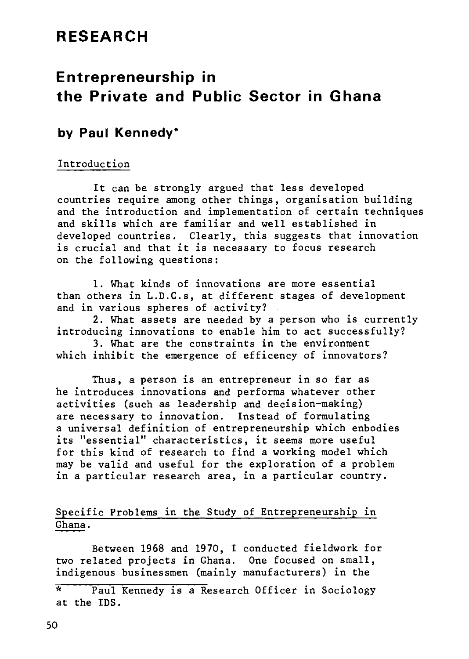## RESEARCH

# Entrepreneurship in the Private and Public Sector in Ghana

### by Paul Kennedy\*

#### Introduction

It can be strongly argued that less developed countries require among other things, organisation building and the introduction and implementation of certain techniques and skills which are familiar and well established in developed countries. Clearly, this suggests that innovation is crucial and that it is necessary to focus research on the following questions:

What kinds of innovations are more essential than others in L.D.C.s, at different stages of development and in various spheres of activity?

What assets are needed by a person who is currently introducing innovations to enable him to act successfully?

What are the constraints in the environment which inhibit the emergence of efficency of innovators?

Thus, a person is an entrepreneur in so far as he introduces innovations and performs whatever other activities (such as leadership and decision-making) are necessary to innovation. Instead of formulating a universal definition of entrepreneurship which enbodies its "essential" characteristics, it seems more useful for this kind of research to find a working model which may be valid and useful for the exploration of a problem in a particular research area, in a particular country.

### Specific Problems in the Study of Entrepreneurship in Ghana.

Between 1968 and 1970, I conducted fieldwork for two related projects in Ghana. One focused on small, indigenous businessmen (mainly manufacturers) in the

Paul Kennedy is a Research Officer in Sociology at the IDS.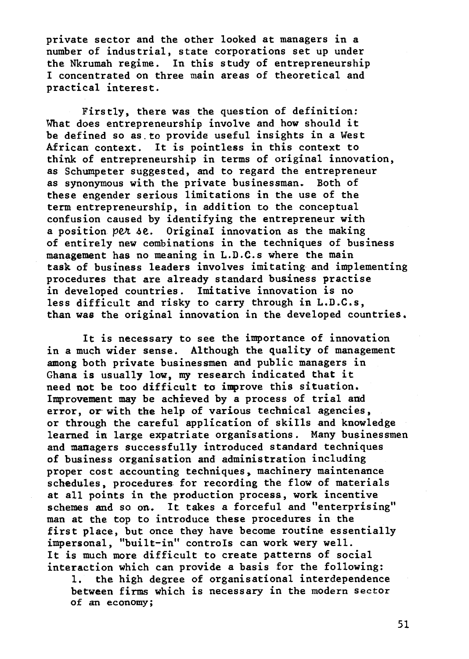private sector and the other looked at managers in a number of industrial, state corporations set up under the Nkrumah regime. In this study of entrepreneurship I concentrated on three main areas of theoretical and practical interest.

Firstly, there was the question of definition: What does entrepreneurship involve and how should it be defined so as.to provide useful insights in a West African context. It is pointless in this context to think of entrepreneurship in terms of original innovation, as Schumpeter suggested, and to regard the entrepreneur as synonymous with the private businessman. Both of these engender serious limitations in the use of the term entrepreneurship, in addition to the conceptual confusion caused by identifying the entrepreneur with a position per se. Original innovation as the making of entirely new combinations in the techniques of business management has no meaning in L.D.C.s where the main task of business leaders involves imitating and implementing procedures that are already standard business practise in developed countries. Imitative innovation is no less difficult and risky to carry through in L.D.C.s, than vas the original innovation in the developed countries.

It is necessary to see the importance of innovation in a much wider sense. Although the quality of management among both private businessmen and public managers in Ghana is usually low, my research indicated that it need not be too difficult to improve this situation. Improvement may be achieved by a process of trial and error, or with ehe help of various technical agencies, or through the careful application of skills and knowledge learned in large expatriate organisations. Many businessmen and managers successfully introduced standard techniques of business organisation and administration including proper cost accounting techniques, machinery maintenance schedules, procedures for recording the flow of materials at all points in the production process, work incentive schemes and so on. It takes a forceful and "enterprising" man at ehe top to introduce these procedures in the first place, but once they have become routine essentially impersonal, "built-in" controls can work very well. It is much more difficult to create patterns of social interaction which can provide a basis for the following:

1. the high degree of organisational interdependence between firms which is necessary in the modern sector of an economy;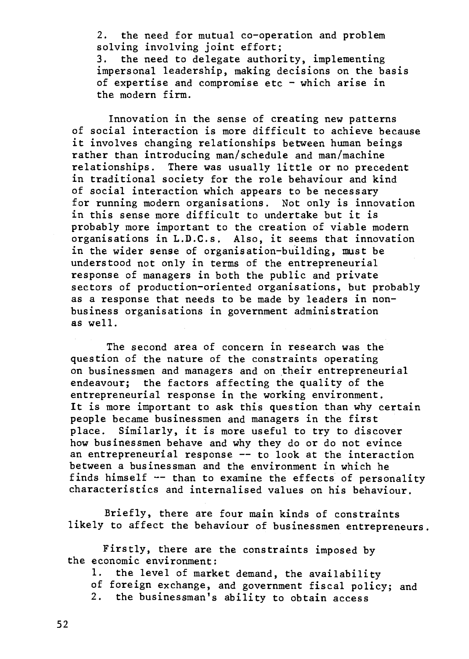the need for mutual co-operation and problem solving involving joint effort;<br>3. the need to delegate author the need to delegate authority, implementing impersonal leadership, making decisions on the basis of expertise and compromise etc - which arise in the modern firm.

Innovation in the sense of creating new patterns of social interaction is more difficult to achieve because it involves changing relationships between human beings rather than introducing man/schedule and man/machine relationships. There was usually little or no precedent in traditional society for the role behaviour and kind of social interaction which appears to be necessary for running modern organisations. Not only is innovation in this sense more difficult to undertake but it is probably more important to the creation of viable modern organisations in L.D.C.s. Also, it seems that innovation in the wider sense of organisation-building, must be understood not only in terms of the entrepreneurial response of managers in both the public and private sectors of production-oriented organisations, but probably as a response that needs to be made by leaders in nonbusiness organisations in government administration as well.

The second area of concern in research was the question of the nature of the constraints operating on businessmen and managers and on their entrepreneurial endeavour; the factors affecting the quality of the entrepreneurial response in the working environment. It is more important to ask this question than why certain people became businessmen and managers in the first place. Similarly, it is more useful to try to discover how businessmen behave and why they do or do not evince an entrepreneurial response -- to look at the interaction between a businessman and the environment in which he finds himself -- than to examine the effects of personality characteristics and internalised values on his behaviour.

Briefly, there are four main kinds of constraints likely to affect the behaviour of businessmen entrepreneurs.

Firstly, there are the constraints imposed by the economic environment:

- the level of market demand, the availability  $1<sup>1</sup>$
- of foreign exchange, and government fiscal policy; and
- 2. the businessman's ability to obtain access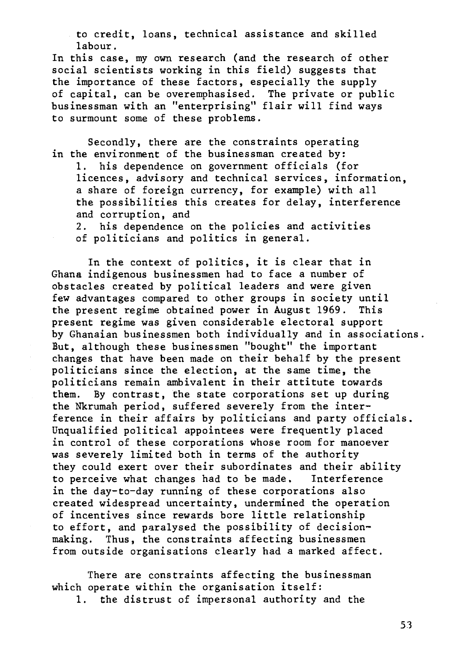to credit, loans, technical assistance and skilled labour.

In this case, my own research (and the research of other social scientists working in this field) suggests that the importance of these factors, especially the supply of capital, can be overemphasised. The private or public businessman with an "enterprising" flair will find ways to surmount some of these problems.

Secondly, there are the constraints operating in the environment of the businessman created by:

1. his dependence on government officials (for licences, advisory and technical services, information, a share of foreign currency, for example) with all the possibilities this creates for delay, interference and corruption, and

2. his dependence on the policies and activities of politicians and politics in general.

In the context of politics, it is clear that in Ghana indigenous businessmen had to face a number of obstacles created by political leaders and were given few advantages compared to other groups in society until the present regime obtained power in August 1969. This present regime was given considerable electoral support by Ghanaian businessmen both individually and in associations. But, although these businessmen "bought" the important changes that have been made on their behalf by the present politicians since the election, at the same time, the politicians remain ambivalent in their attitute towards them. By contrast, the state corporations set up during the Nkrumah period, suffered severely from the interference in their affairs by politicians and party officials. Unqualified political appointees were frequently placed in control of these corporations whose room for manoever was severely limited both in terms of the authority they could exert over their subordinates and their ability to perceive what changes had to be made. Interference in the day-to-day running of these corporations also created widespread uncertainty, undermined the operation of incentives since rewards bore little relationship to effort, and paralysed the possibility of decisionmaking. Thus, the constraints affecting businessmen from outside organisations clearly had a marked affect.

There are constraints affecting the businessman which operate within the organisation itself:

1. the distrust of impersonal authority and the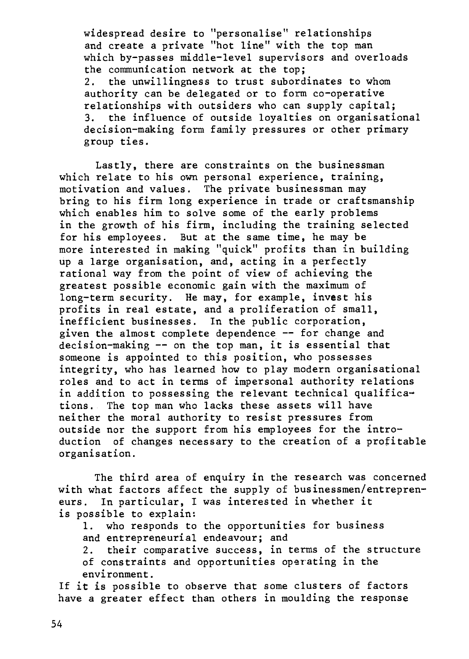widespread desire to "personalise" relationships and create a private "hot line" with the top man which by-passes middle-level supervisors and overloads the communication network at the top; the unwillingness to trust subordinates to whom authority can be delegated or to form co-operative relationships with outsiders who can supply capital; the influence of outside loyalties on organisational  $3.$ decision-making form family pressures or other primary group ties.

Lastly, there are constraints on the businessman which relate to his own personal experience, training, motivation and values. The private businessman may bring to his firm long experience in trade or craftsmanship which enables him to solve some of the early problems in the growth of his firm, including the training selected for his employees. But at the same time, he may be more interested in making "quick" profits than in building up a large organisation, and, acting in a perfectly rational way from the point of view of achieving the greatest possible economic gain with the maximum of long-term security. He may, for example, invest his profits in real estate, and a proliferation of small, inefficient businesses. In the public corporation, given the almost complete dependence -- for change and decision-making -- on the top man, it is essential that someone is appointed to this position, who possesses integrity, who has learned how to play modern organisational roles and to act in terms of impersonal authority relations in addition to possessing the relevant technical qualifications. The top man who lacks these assets will have neither the moral authority to resist pressures from outside nor the support from his employees for the introduction of changes necessary to the creation of a profitable organisation.

The third area of enquiry in the research was concerned with what factors affect the supply of businessmen/entrepreneurs. In particular, I was interested in whether it is possible to explain:

who responds to the opportunities for business and entrepreneurial endeavour; and their comparative success, in terms of the structure of constraints and opportunities operating in the environment.

If it is possible to observe that some clusters of factors have a greater effect than others in moulding the response